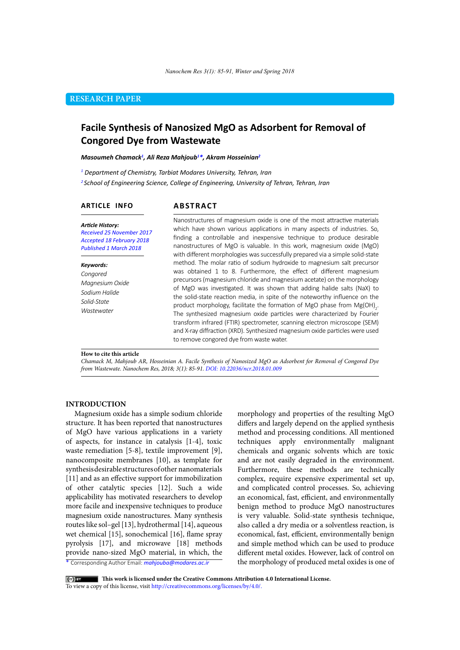# **RESEARCH PAPER**

# **Facile Synthesis of Nanosized MgO as Adsorbent for Removal of Congored Dye from Wastewate**

#### *Masoumeh Chamack1 , Ali Reza Mahjoub1 \*, Akram Hosseinian2*

*1 Department of Chemistry, Tarbiat Modares University, Tehran, Iran* 

*2 School of Engineering Science, College of Engineering, University of Tehran, Tehran, Iran*

## **ARTICLE INFO**

# **ABSTRACT**

*Article History: Received 25 November 2017 Accepted 18 February 2018 Published 1 March 2018*

#### *Keywords:*

*Congored Magnesium Oxide Sodium Halide Solid-State Wastewater*

Nanostructures of magnesium oxide is one of the most attractive materials which have shown various applications in many aspects of industries. So, finding a controllable and inexpensive technique to produce desirable nanostructures of MgO is valuable. In this work, magnesium oxide (MgO) with different morphologies was successfully prepared via a simple solid-state method. The molar ratio of sodium hydroxide to magnesium salt precursor was obtained 1 to 8. Furthermore, the effect of different magnesium precursors (magnesium chloride and magnesium acetate) on the morphology of MgO was investigated. It was shown that adding halide salts (NaX) to the solid-state reaction media, in spite of the noteworthy influence on the product morphology, facilitate the formation of MgO phase from  $\mathsf{Mg(OH)}_2$ . The synthesized magnesium oxide particles were characterized by Fourier transform infrared (FTIR) spectrometer, scanning electron microscope (SEM) and X-ray diffraction (XRD). Synthesized magnesium oxide particles were used to remove congored dye from waste water.

#### **How to cite this article**

*Chamack M, Mahjoub AR, Hosseinian A. Facile Synthesis of Nanosized MgO as Adsorbent for Removal of Congored Dye from Wastewate. Nanochem Res, 2018; 3(1): 85-91. DOI: 10.22036/ncr.2018.01.009*

#### **INTRODUCTION**

Magnesium oxide has a simple sodium chloride structure. It has been reported that nanostructures of MgO have various applications in a variety of aspects, for instance in catalysis [1-4], toxic waste remediation [5-8], textile improvement [9], nanocomposite membranes [10], as template for synthesis desirable structures of other nanomaterials [11] and as an effective support for immobilization of other catalytic species [12]. Such a wide applicability has motivated researchers to develop more facile and inexpensive techniques to produce magnesium oxide nanostructures. Many synthesis routes like sol–gel [13], hydrothermal [14], aqueous wet chemical [15], sonochemical [16], flame spray pyrolysis [17], and microwave [18] methods provide nano-sized MgO material, in which, the

morphology and properties of the resulting MgO differs and largely depend on the applied synthesis method and processing conditions. All mentioned techniques apply environmentally malignant chemicals and organic solvents which are toxic and are not easily degraded in the environment. Furthermore, these methods are technically complex, require expensive experimental set up, and complicated control processes. So, achieving an economical, fast, efficient, and environmentally benign method to produce MgO nanostructures is very valuable. Solid-state synthesis technique, also called a [dry](http://www.wisegeek.com/how-do-i-get-rid-of-dry-frizzy-hair.htm) media or a solventless reaction, is economical, fast, efficient, environmentally benign and simple method which can be used to produce different metal oxides. However, lack of control on the morphology of produced metal oxides is one of

\* Corresponding Author Email: *mahjouba@modares.ac.ir*

 **This work is licensed under the Creative Commons Attribution 4.0 International License.** 

To view a copy of this license, visit [http://creativecommons.org/licenses/by/4.0/.](http://creativecommons.org/licenses/by/4.0/)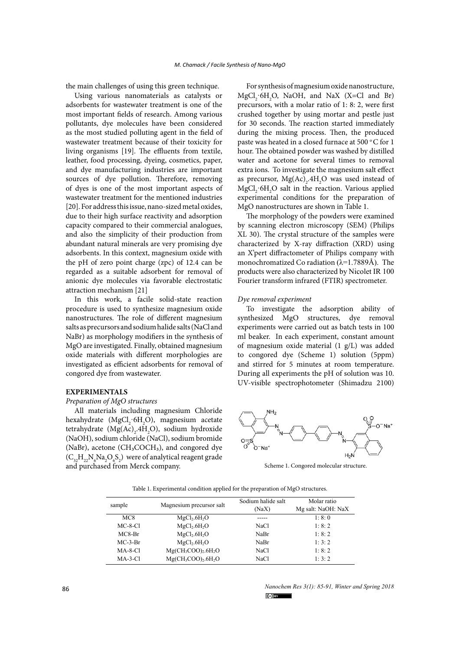the main challenges of using this green technique.

Using various nanomaterials as catalysts or adsorbents for wastewater treatment is one of the most important fields of research. Among various pollutants, dye molecules have been considered as the most studied polluting agent in the field of wastewater treatment because of their toxicity for living organisms [19]. The effluents from textile, leather, food processing, dyeing, cosmetics, paper, and dye manufacturing industries are important sources of dye pollution. Therefore, removing of dyes is one of the most important aspects of wastewater treatment for the mentioned industries [20]. For address this issue, nano-sized metal oxides, due to their high surface reactivity and adsorption capacity compared to their commercial analogues, and also the simplicity of their production from abundant natural minerals are very promising dye adsorbents. In this context, magnesium oxide with the pH of zero point charge (zpc) of 12.4 can be regarded as a suitable adsorbent for removal of anionic dye molecules via favorable electrostatic attraction mechanism [21]

In this work, a facile solid-state reaction procedure is used to synthesize magnesium oxide nanostructures. The role of different magnesium salts as precursors and sodium halide salts (NaCl and NaBr) as morphology modifiers in the synthesis of MgO are investigated. Finally, obtained magnesium oxide materials with different morphologies are investigated as efficient adsorbents for removal of congored dye from wastewater.

## **EXPERIMENTALS**

## *Preparation of MgO structures*

All materials including magnesium Chloride hexahydrate ( $MgCl_2$ ·6H<sub>2</sub>O), magnesium acetate tetrahydrate (Mg(Ac)<sub>2</sub>.4H<sub>2</sub>O), sodium hydroxide (NaOH), sodium chloride (NaCl), sodium bromide (NaBr), acetone (CH<sub>3</sub>COCH<sub>3</sub>), and congored dye  $(C_{32}H_{22}N_6Na_2O_6S_2)$  were of analytical reagent grade and purchased from Merck company.

For synthesis of magnesium oxide nanostructure,  $MgCl<sub>2</sub>·6H<sub>2</sub>O$ , NaOH, and NaX (X=Cl and Br) precursors, with a molar ratio of 1: 8: 2, were first crushed together by using mortar and pestle just for 30 seconds. The reaction started immediately during the mixing process. Then, the produced paste was heated in a closed furnace at 500 °C for 1 hour. The obtained powder was washed by distilled water and acetone for several times to removal extra ions. To investigate the magnesium salt effect as precursor,  $Mg(Ac)_{2}$ .4H<sub>2</sub>O was used instead of MgCl<sub>2</sub>·6H<sub>2</sub>O salt in the reaction. Various applied experimental conditions for the preparation of MgO nanostructures are shown in Table 1.

The morphology of the powders were examined by scanning electron microscopy (SEM) (Philips XL 30). The crystal structure of the samples were characterized by X-ray diffraction (XRD) using an X'pert diffractometer of Philips company with monochromatized Co radiation ( $\lambda$ =1.7889Å). The products were also characterized by Nicolet IR 100 Fourier transform infrared (FTIR) spectrometer.

### *Dye removal experiment*

To investigate the adsorption ability of synthesized MgO structures, dye removal experiments were carried out as batch tests in 100 ml beaker. In each experiment, constant amount of magnesium oxide material (1 g/L) was added to congored dye (Scheme 1) solution (5ppm) and stirred for 5 minutes at room temperature. During all experiments the pH of solution was 10. UV-visible spectrophotometer (Shimadzu 2100)



Scheme 1. Congored molecular structure.

Table 1. Experimental condition applied for the preparation of MgO structures.

| sample          | Magnesium precursor salt             | Sodium halide salt<br>(NaX) | Molar ratio<br>Mg salt: NaOH: NaX |
|-----------------|--------------------------------------|-----------------------------|-----------------------------------|
| MC <sub>8</sub> | MgCl <sub>2</sub> .6H <sub>2</sub> O |                             | 1:8:0                             |
| $MC-8-Cl$       | MgCl <sub>2</sub> .6H <sub>2</sub> O | NaCl                        | 1: 8: 2                           |
| $MC8-Br$        | MgCl <sub>2</sub> .6H <sub>2</sub> O | NaBr                        | 1: 8: 2                           |
| $MC-3-Br$       | MgCl <sub>2</sub> .6H <sub>2</sub> O | NaBr                        | 1:3:2                             |
| $MA-8-Cl$       | $Mg(CH_3COO)_2.6H_2O$                | NaC <sub>1</sub>            | 1: 8: 2                           |
| $MA-3-Cl$       | $Mg(CH_3COO)_2.6H_2O$                | NaCl                        | 1:3:2                             |

*Nanochem Res 3(1): 85-91, Winter and Spring 2018*  $\circ$  by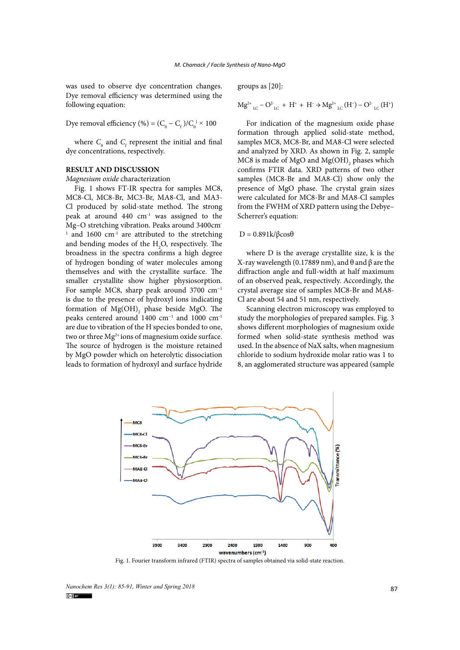was used to observe dye concentration changes. Dye removal efficiency was determined using the following equation:

Dye removal efficiency (%) =  $(C_0 - C_f)/C_0 \times 100$ 

where  $C_0$  and  $C_f$  represent the initial and final dye concentrations, respectively.

#### **RESULT AND DISCUSSION**

#### *Magnesium oxide* characterization

Fig. 1 shows FT-IR spectra for samples MC8, MC8-Cl, MC8-Br, MC3-Br, MA8-Cl, and MA3- Cl produced by solid-state method. The strong peak at around 440 cm-1 was assigned to the Mg–O stretching vibration. Peaks around 3400cm- $1$  and 1600 cm<sup>-1</sup> are attributed to the stretching and bending modes of the  $H_2O$ , respectively. The broadness in the spectra confirms a high degree of hydrogen bonding of water molecules among themselves and with the crystallite surface. The smaller crystallite show higher physiosorption. For sample MC8, sharp peak around 3700 cm−1 is due to the presence of hydroxyl ions indicating formation of  $Mg(OH)$ <sub>2</sub> phase beside MgO. The peaks centered around 1400 cm−1 and 1000 cm-1 are due to vibration of the H-species bonded to one, two or three  $Mg^{2+}$ ions of magnesium oxide surface. The source of hydrogen is the moisture retained by MgO powder which on heterolytic dissociation leads to formation of hydroxyl and surface hydride

groups as [20]:

$$
M{g^2}^*{}_{\rm LC} - O^2{}_{\rm LC} \; + \; H^* \; + \; H^- \! \Rightarrow \! M{g^2}^*{}_{\rm LC} \left( H^- \right) - O^2{}_{\rm LC} \left( H^+ \right)
$$

For indication of the magnesium oxide phase formation through applied solid-state method, samples MC8, MC8-Br, and MA8-Cl were selected and analyzed by XRD. As shown in Fig. 2, sample MC8 is made of MgO and  $Mg(OH)$ <sub>2</sub> phases which confirms FTIR data. XRD patterns of two other samples (MC8-Br and MA8-Cl) show only the presence of MgO phase. The crystal grain sizes were calculated for MC8-Br and MA8-Cl samples from the FWHM of XRD pattern using the Debye– Scherrer's equation:

## $D = 0.891k/βcosθ$

where D is the average crystallite size, k is the X-ray wavelength (0.17889 nm), and θ and β are the diffraction angle and full-width at half maximum of an observed peak, respectively. Accordingly, the crystal average size of samples MC8-Br and MA8- Cl are about 54 and 51 nm, respectively.

Scanning electron microscopy was employed to study the morphologies of prepared samples. Fig. 3 shows different morphologies of magnesium oxide formed when solid-state synthesis method was used. In the absence of NaX salts, when magnesium chloride to sodium hydroxide molar ratio was 1 to 8, an agglomerated structure was appeared (sample



Fig. 1. Fourier transform infrared (FTIR) spectra of samples obtained via solid-state reaction.

*Nanochem Res 3(1): 85-91, Winter and Spring 2018*<br> **Explorer**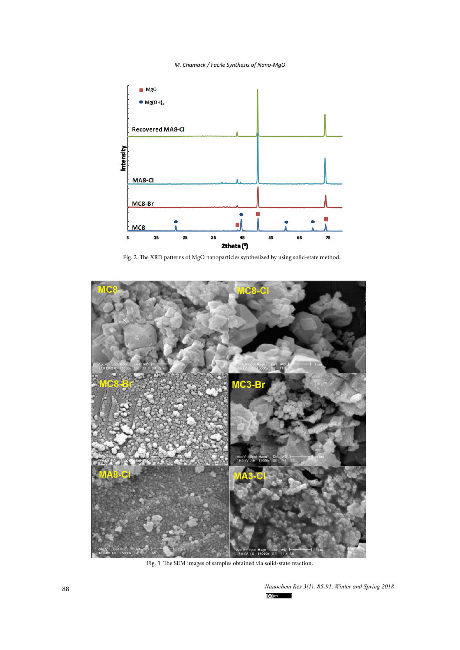## *M. Chamack / Facile Synthesis of Nano-MgO*



Fig. 2. The XRD patterns of MgO nanoparticles synthesized by using solid-state method.



 $\mathbf{F}$ Fig. 3. The SEM images of samples obtained via solid-state reaction.

*Nanochem Res 3(1): 85-91, Winter and Spring 2018*  $(cc)$  BY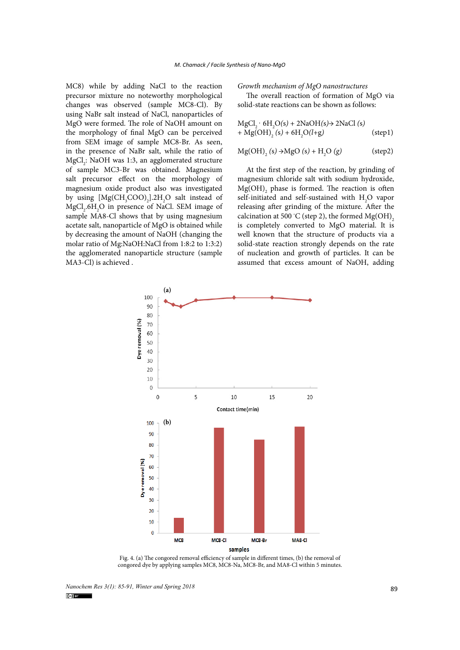MC8) while by adding NaCl to the reaction precursor mixture no noteworthy morphological changes was observed (sample MC8-Cl). By using NaBr salt instead of NaCl, nanoparticles of MgO were formed. The role of NaOH amount on the morphology of final MgO can be perceived from SEM image of sample MC8-Br. As seen, in the presence of NaBr salt, while the ratio of MgCl<sub>2</sub>: NaOH was 1:3, an agglomerated structure of sample MC3-Br was obtained. Magnesium salt precursor effect on the morphology of magnesium oxide product also was investigated by using  $[Mg(CH<sub>3</sub>COO)<sub>2</sub>]$ .2H<sub>2</sub>O salt instead of  $MgCl<sub>2</sub>.6H<sub>2</sub>O$  in presence of NaCl. SEM image of sample MA8-Cl shows that by using magnesium acetate salt, nanoparticle of MgO is obtained while by decreasing the amount of NaOH (changing the molar ratio of Mg:NaOH:NaCl from 1:8:2 to 1:3:2) the agglomerated nanoparticle structure (sample MA3-Cl) is achieved .

*Growth mechanism of MgO nanostructures*

The overall reaction of formation of MgO via solid-state reactions can be shown as follows:

$$
MgCl2 \cdot 6H2O(s) + 2NaOH(s) \rightarrow 2NaCl(s)
$$
  
+ Mg(OH)<sub>2</sub> (s) + 6H<sub>2</sub>O(l+g) (step1)

$$
Mg(OH)_{2}(s) \rightarrow MgO(s) + H_{2}O(g)
$$
 (step2)

At the first step of the reaction, by grinding of magnesium chloride salt with sodium hydroxide,  $Mg(OH)$ <sub>2</sub> phase is formed. The reaction is often self-initiated and self-sustained with  $H_2O$  vapor releasing after grinding of the mixture. After the calcination at 500 °C (step 2), the formed  $Mg(OH)_{2}$ is completely converted to MgO material. It is well known that the structure of products via a solid-state reaction strongly depends on the rate of nucleation and growth of particles. It can be assumed that excess amount of NaOH, adding



Fig. 4. (a) The congored removal efficiency of sample in different times, (b) the removal of congored dye by applying samples MC8, MC8-Na, MC8-Br, and MA8-Cl within 5 minutes.

*Nanochem Res 3(1): 85-91, Winter and Spring 2018*<br> **89**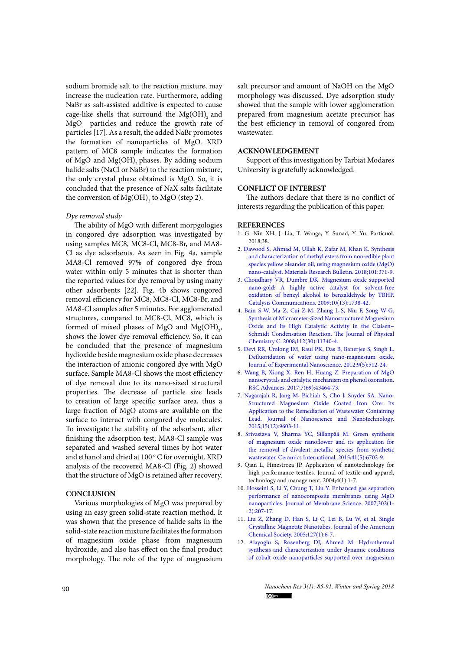sodium bromide salt to the reaction mixture, may increase the nucleation rate. Furthermore, adding NaBr as salt-assisted additive is expected to cause cage-like shells that surround the  $Mg(OH)$  and MgO particles and reduce the growth rate of particles [17]. As a result, the added NaBr promotes the formation of nanoparticles of MgO. XRD pattern of MC8 sample indicates the formation of MgO and  $Mg(OH)$ <sub>2</sub> phases. By adding sodium halide salts (NaCl or NaBr) to the reaction mixture, the only crystal phase obtained is MgO. So, it is concluded that the presence of NaX salts facilitate the conversion of  $Mg(OH)$ <sub>2</sub> to MgO (step 2).

#### *Dye removal study*

The ability of MgO with different morpgologies in congored dye adsorption was investigated by using samples MC8, MC8-Cl, MC8-Br, and MA8- Cl as dye adsorbents. As seen in Fig. 4a, sample MA8-Cl removed 97% of congored dye from water within only 5 minutes that is shorter than the reported values for dye removal by using many other adsorbents [22]. Fig. 4b shows congored removal efficiency for MC8, MC8-Cl, MC8-Br, and MA8-Cl samples after 5 minutes. For agglomerated structures, compared to MC8-Cl, MC8, which is formed of mixed phases of MgO and  $Mg(OH)_{2}$ , shows the lower dye removal efficiency. So, it can be concluded that the presence of magnesium hydioxide beside magnesium oxide phase decreases the interaction of anionic congored dye with MgO surface. Sample MA8-Cl shows the most efficiency of dye removal due to its nano-sized structural properties. The decrease of particle size leads to creation of large specific surface area, thus a large fraction of MgO atoms are available on the surface to interact with congored dye molecules. To investigate the stability of the adsorbent, after finishing the adsorption test, MA8-Cl sample was separated and washed several times by hot water and ethanol and dried at  $100^{\circ}$ C for overnight. XRD analysis of the recovered MA8-Cl (Fig. 2) showed that the structure of MgO is retained after recovery.

## **CONCLUSION**

Various morphologies of MgO was prepared by using an easy green solid-state reaction method. It was shown that the presence of halide salts in the solid-state reaction mixture facilitates the formation of magnesium oxide phase from magnesium hydroxide, and also has effect on the final product morphology. The role of the type of magnesium

salt precursor and amount of NaOH on the MgO morphology was discussed. Dye adsorption study showed that the sample with lower agglomeration prepared from magnesium acetate precursor has the best efficiency in removal of congored from wastewater.

#### **ACKNOWLEDGEMENT**

Support of this investigation by Tarbiat Modares University is gratefully acknowledged.

#### **CONFLICT OF INTEREST**

The authors declare that there is no conflict of interests regarding the publication of this paper.

#### **REFERENCES**

- 1. G. Nin XH, J. Lia, T. Wanga, Y. Sunad, Y. Yu. Particuol. 2018;38.
- 2. [Dawood S, Ahmad M, Ullah K, Zafar M, Khan K. Synthesis](http://dx.doi.org/10.1016/j.materresbull.2018.01.047) [and characterization of methyl esters from non-edible plant](http://dx.doi.org/10.1016/j.materresbull.2018.01.047) [species yellow oleander oil, using magnesium oxide \(MgO\)](http://dx.doi.org/10.1016/j.materresbull.2018.01.047) [nano-catalyst. Materials Research Bulletin. 2018;101:371-9.](http://dx.doi.org/10.1016/j.materresbull.2018.01.047)
- 3. [Choudhary VR, Dumbre DK. Magnesium oxide supported](http://dx.doi.org/10.1016/j.catcom.2009.05.020) [nano-gold: A highly active catalyst for solvent-free](http://dx.doi.org/10.1016/j.catcom.2009.05.020) [oxidation of benzyl alcohol to benzaldehyde by TBHP.](http://dx.doi.org/10.1016/j.catcom.2009.05.020) [Catalysis Communications. 2009;10\(13\):1738-42.](http://dx.doi.org/10.1016/j.catcom.2009.05.020)
- 4. [Bain S-W, Ma Z, Cui Z-M, Zhang L-S, Niu F, Song W-G.](http://dx.doi.org/10.1021/jp802863j) [Synthesis of Micrometer-Sized Nanostructured Magnesium](http://dx.doi.org/10.1021/jp802863j) [Oxide and Its High Catalytic Activity in the Claisen−](http://dx.doi.org/10.1021/jp802863j) [Schmidt Condensation Reaction. The Journal of Physical](http://dx.doi.org/10.1021/jp802863j) [Chemistry C. 2008;112\(30\):11340-4.](http://dx.doi.org/10.1021/jp802863j)
- 5. [Devi RR, Umlong IM, Raul PK, Das B, Banerjee S, Singh L.](http://dx.doi.org/10.1080/17458080.2012.675522) [Defluoridation of water using nano-magnesium oxide.](http://dx.doi.org/10.1080/17458080.2012.675522) [Journal of Experimental Nanoscience. 2012;9\(5\):512-24.](http://dx.doi.org/10.1080/17458080.2012.675522)
- 6. [Wang B, Xiong X, Ren H, Huang Z. Preparation of MgO](http://dx.doi.org/10.1039/c7ra07553g) [nanocrystals and catalytic mechanism on phenol ozonation.](http://dx.doi.org/10.1039/c7ra07553g) [RSC Advances. 2017;7\(69\):43464-73.](http://dx.doi.org/10.1039/c7ra07553g)
- 7. [Nagarajah R, Jang M, Pichiah S, Cho J, Snyder SA. Nano-](http://dx.doi.org/10.1166/jnn.2015.10689)[Structured Magnesium Oxide Coated Iron Ore: Its](http://dx.doi.org/10.1166/jnn.2015.10689) [Application to the Remediation of Wastewater Containing](http://dx.doi.org/10.1166/jnn.2015.10689) [Lead. Journal of Nanoscience and Nanotechnology.](http://dx.doi.org/10.1166/jnn.2015.10689) [2015;15\(12\):9603-11.](http://dx.doi.org/10.1166/jnn.2015.10689)
- 8. [Srivastava V, Sharma YC, Sillanpää M. Green synthesis](http://dx.doi.org/10.1016/j.ceramint.2015.01.112) [of magnesium oxide nanoflower and its application for](http://dx.doi.org/10.1016/j.ceramint.2015.01.112) [the removal of divalent metallic species from synthetic](http://dx.doi.org/10.1016/j.ceramint.2015.01.112) [wastewater. Ceramics International. 2015;41\(5\):6702-9.](http://dx.doi.org/10.1016/j.ceramint.2015.01.112)
- 9. Qian L, Hinestroza JP. Application of nanotechnology for high performance textiles. Journal of textile and apparel, technology and management. 2004;4(1):1-7.
- 10. [Hosseini S, Li Y, Chung T, Liu Y. Enhanced gas separation](http://dx.doi.org/10.1016/j.memsci.2007.06.062) [performance of nanocomposite membranes using MgO](http://dx.doi.org/10.1016/j.memsci.2007.06.062) [nanoparticles. Journal of Membrane Science. 2007;302\(1-](http://dx.doi.org/10.1016/j.memsci.2007.06.062) [2\):207-17.](http://dx.doi.org/10.1016/j.memsci.2007.06.062)
- 11. [Liu Z, Zhang D, Han S, Li C, Lei B, Lu W, et al. Single](http://dx.doi.org/10.1021/ja0445239) [Crystalline Magnetite Nanotubes. Journal of the American](http://dx.doi.org/10.1021/ja0445239) [Chemical Society. 2005;127\(1\):6-7.](http://dx.doi.org/10.1021/ja0445239)
- 12. [Alayoglu S, Rosenberg DJ, Ahmed M. Hydrothermal](http://dx.doi.org/10.1039/c6dt00204h) [synthesis and characterization under dynamic conditions](http://dx.doi.org/10.1039/c6dt00204h) [of cobalt oxide nanoparticles supported over magnesium](http://dx.doi.org/10.1039/c6dt00204h)

**90** *Nanochem Res 3(1): 85-91, Winter and Spring 2018 C*